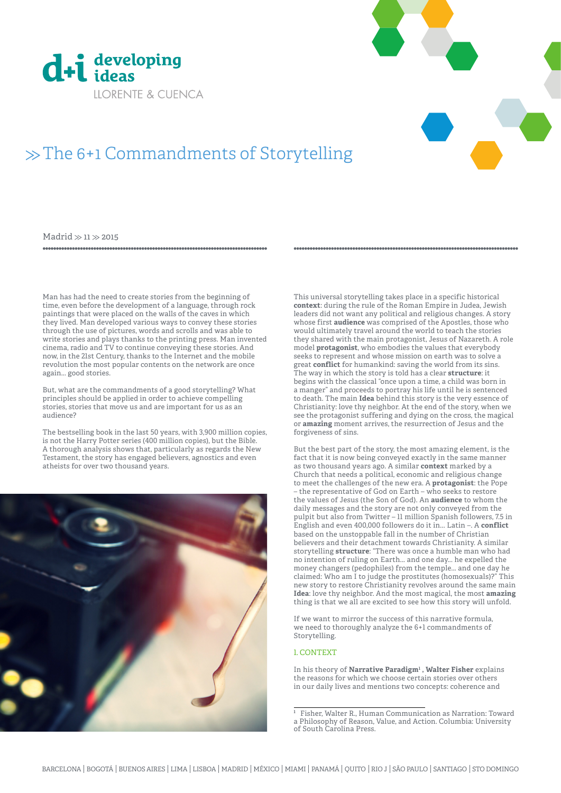



# $\gg$  The 6+1 Commandments of Storytelling

 $Madrid \gg 11 \gg 2015$ 

Man has had the need to create stories from the beginning of time, even before the development of a language, through rock paintings that were placed on the walls of the caves in which they lived. Man developed various ways to convey these stories through the use of pictures, words and scrolls and was able to write stories and plays thanks to the printing press. Man invented cinema, radio and TV to continue conveying these stories. And now, in the 21st Century, thanks to the Internet and the mobile revolution the most popular contents on the network are once again... good stories.

But, what are the commandments of a good storytelling? What principles should be applied in order to achieve compelling stories, stories that move us and are important for us as an audience?

The bestselling book in the last 50 years, with 3,900 million copies, is not the Harry Potter series (400 million copies), but the Bible. A thorough analysis shows that, particularly as regards the New Testament, the story has engaged believers, agnostics and even atheists for over two thousand years.



This universal storytelling takes place in a specific historical **context**: during the rule of the Roman Empire in Judea, Jewish leaders did not want any political and religious changes. A story whose first **audience** was comprised of the Apostles, those who would ultimately travel around the world to teach the stories they shared with the main protagonist, Jesus of Nazareth. A role model **protagonist**, who embodies the values that everybody seeks to represent and whose mission on earth was to solve a great **conflict** for humankind: saving the world from its sins. The way in which the story is told has a clear **structure**: it begins with the classical "once upon a time, a child was born in a manger" and proceeds to portray his life until he is sentenced to death. The main **Idea** behind this story is the very essence of Christianity: love thy neighbor. At the end of the story, when we see the protagonist suffering and dying on the cross, the magical or **amazing** moment arrives, the resurrection of Jesus and the forgiveness of sins.

But the best part of the story, the most amazing element, is the fact that it is now being conveyed exactly in the same manner as two thousand years ago. A similar **context** marked by a Church that needs a political, economic and religious change to meet the challenges of the new era. A **protagonist**: the Pope – the representative of God on Earth – who seeks to restore the values of Jesus (the Son of God). An **audience** to whom the daily messages and the story are not only conveyed from the pulpit but also from Twitter – 11 million Spanish followers, 7.5 in English and even 400,000 followers do it in... Latin –. A **conflict** based on the unstoppable fall in the number of Christian believers and their detachment towards Christianity. A similar storytelling **structure**: "There was once a humble man who had no intention of ruling on Earth... and one day... he expelled the money changers (pedophiles) from the temple... and one day he claimed: Who am I to judge the prostitutes (homosexuals)?" This new story to restore Christianity revolves around the same main **Idea**: love thy neighbor. And the most magical, the most **amazing**  thing is that we all are excited to see how this story will unfold.

If we want to mirror the success of this narrative formula, we need to thoroughly analyze the 6+1 commandments of Storytelling.

# 1. CONTEXT

In his theory of **Narrative Paradigm<sup>1</sup>, Walter Fisher** explains the reasons for which we choose certain stories over others in our daily lives and mentions two concepts: coherence and

**<sup>1</sup>** Fisher, Walter R., Human Communication as Narration: Toward a Philosophy of Reason, Value, and Action. Columbia: University of South Carolina Press.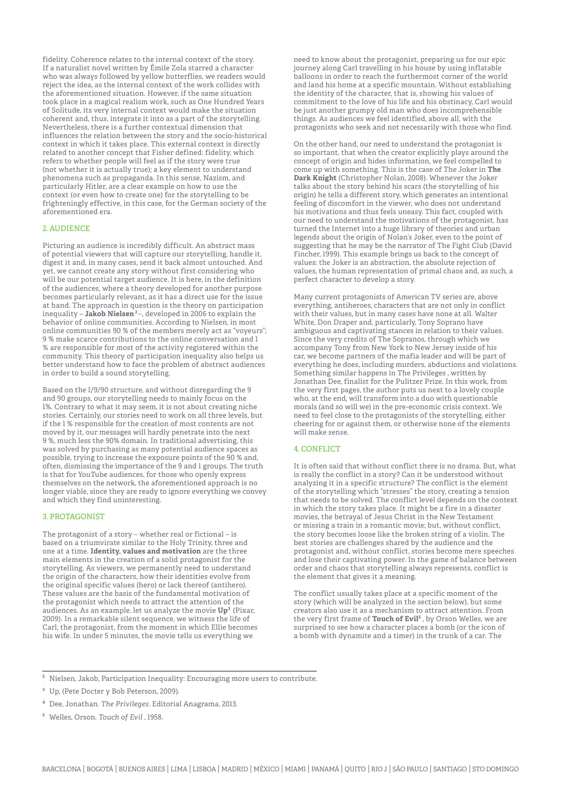fidelity. Coherence relates to the internal context of the story. If a naturalist novel written by Émile Zola starred a character who was always followed by yellow butterflies, we readers would reject the idea, as the internal context of the work collides with the aforementioned situation. However, if the same situation took place in a magical realism work, such as One Hundred Years of Solitude, its very internal context would make the situation coherent and, thus, integrate it into as a part of the storytelling. Nevertheless, there is a further contextual dimension that influences the relation between the story and the socio-historical context in which it takes place. This external context is directly related to another concept that Fisher defined: fidelity, which refers to whether people will feel as if the story were true (not whether it is actually true); a key element to understand phenomena such as propaganda. In this sense, Nazism, and particularly Hitler, are a clear example on how to use the context (or even how to create one) for the storytelling to be frighteningly effective, in this case, for the German society of the aforementioned era.

### 2. AUDIENCE

Picturing an audience is incredibly difficult. An abstract mass of potential viewers that will capture our storytelling, handle it, digest it and, in many cases, send it back almost untouched. And yet, we cannot create any story without first considering who will be our potential target audience. It is here, in the definition of the audiences, where a theory developed for another purpose becomes particularly relevant, as it has a direct use for the issue at hand. The approach in question is the theory on participation inequality – **Jakob Nielsen 2** –, developed in 2006 to explain the behavior of online communities. According to Nielsen, in most online communities 90 % of the members merely act as "voyeurs"; 9 % make scarce contributions to the online conversation and 1 % are responsible for most of the activity registered within the community. This theory of participation inequality also helps us better understand how to face the problem of abstract audiences in order to build a sound storytelling.

Based on the 1/9/90 structure, and without disregarding the 9 and 90 groups, our storytelling needs to mainly focus on the 1%. Contrary to what it may seem, it is not about creating niche stories. Certainly, our stories need to work on all three levels, but if the 1 % responsible for the creation of most contents are not moved by it, our messages will hardly penetrate into the next 9 %, much less the 90% domain. In traditional advertising, this was solved by purchasing as many potential audience spaces as possible, trying to increase the exposure points of the 90 % and, often, dismissing the importance of the 9 and 1 groups. The truth is that for YouTube audiences, for those who openly express themselves on the network, the aforementioned approach is no longer viable, since they are ready to ignore everything we convey and which they find uninteresting.

#### 3. PROTAGONIST

The protagonist of a story – whether real or fictional – is based on a triumvirate similar to the Holy Trinity, three and one at a time. **Identity, values and motivation** are the three main elements in the creation of a solid protagonist for the storytelling. As viewers, we permanently need to understand the origin of the characters, how their identities evolve from the original specific values (hero) or lack thereof (antihero). These values are the basis of the fundamental motivation of the protagonist which needs to attract the attention of the audiences. As an example, let us analyze the movie **Up3** (Pixar, 2009). In a remarkable silent sequence, we witness the life of Carl, the protagonist, from the moment in which Ellie becomes his wife. In under 5 minutes, the movie tells us everything we

need to know about the protagonist, preparing us for our epic journey along Carl travelling in his house by using inflatable balloons in order to reach the furthermost corner of the world and land his home at a specific mountain. Without establishing the identity of the character, that is, showing his values of commitment to the love of his life and his obstinacy, Carl would be just another grumpy old man who does incomprehensible things. As audiences we feel identified, above all, with the protagonists who seek and not necessarily with those who find.

On the other hand, our need to understand the protagonist is so important, that when the creator explicitly plays around the concept of origin and hides information, we feel compelled to come up with something. This is the case of The Joker in **The Dark Knight** (Christopher Nolan, 2008). Whenever the Joker talks about the story behind his scars (the storytelling of his origin) he tells a different story, which generates an intentional feeling of discomfort in the viewer, who does not understand his motivations and thus feels uneasy. This fact, coupled with our need to understand the motivations of the protagonist, has turned the Internet into a huge library of theories and urban legends about the origin of Nolan's Joker, even to the point of suggesting that he may be the narrator of The Fight Club (David Fincher, 1999). This example brings us back to the concept of values: the Joker is an abstraction, the absolute rejection of values, the human representation of primal chaos and, as such, a perfect character to develop a story.

Many current protagonists of American TV series are, above everything, antiheroes, characters that are not only in conflict with their values, but in many cases have none at all. Walter White, Don Draper and, particularly, Tony Soprano have ambiguous and captivating stances in relation to their values. Since the very credits of The Sopranos, through which we accompany Tony from New York to New Jersey inside of his car, we become partners of the mafia leader and will be part of everything he does, including murders, abductions and violations. Something similar happens in The Privileges , written by Jonathan Dee, finalist for the Pulitzer Prize. In this work, from the very first pages, the author puts us next to a lovely couple who, at the end, will transform into a duo with questionable morals (and so will we) in the pre-economic crisis context. We need to feel close to the protagonists of the storytelling, either cheering for or against them, or otherwise none of the elements will make sense.

# 4. CONFLICT

It is often said that without conflict there is no drama. But, what is really the conflict in a story? Can it be understood without analyzing it in a specific structure? The conflict is the element of the storytelling which "stresses" the story, creating a tension that needs to be solved. The conflict level depends on the context in which the story takes place. It might be a fire in a disaster movies, the betrayal of Jesus Christ in the New Testament or missing a train in a romantic movie; but, without conflict, the story becomes loose like the broken string of a violin. The best stories are challenges shared by the audience and the protagonist and, without conflict, stories become mere speeches and lose their captivating power. In the game of balance between order and chaos that storytelling always represents, conflict is the element that gives it a meaning.

The conflict usually takes place at a specific moment of the story (which will be analyzed in the section below), but some creators also use it as a mechanism to attract attention. From the very first frame of **Touch of Evil5** , by Orson Welles, we are surprised to see how a character places a bomb (or the icon of a bomb with dynamite and a timer) in the trunk of a car. The

**<sup>2</sup>** Nielsen, Jakob, Participation Inequality: Encouraging more users to contribute.

**<sup>3</sup>** Up, (Pete Docter y Bob Peterson, 2009).

**<sup>4</sup>** Dee, Jonathan. *The Privileges*. Editorial Anagrama, 2013.

**<sup>5</sup>** Welles, Orson. *Touch of Evil* , 1958.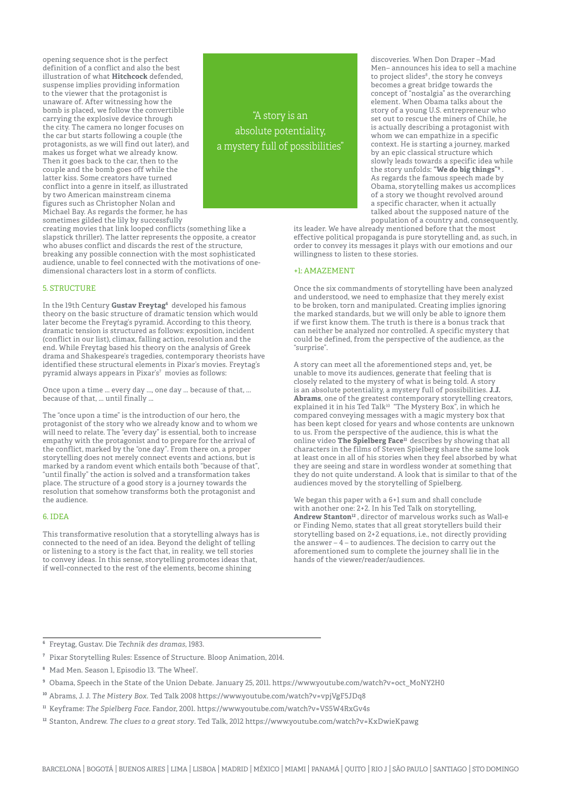opening sequence shot is the perfect definition of a conflict and also the best illustration of what **Hitchcock** defended, suspense implies providing information to the viewer that the protagonist is unaware of. After witnessing how the bomb is placed, we follow the convertible carrying the explosive device through the city. The camera no longer focuses on the car but starts following a couple (the protagonists, as we will find out later), and makes us forget what we already know. Then it goes back to the car, then to the couple and the bomb goes off while the latter kiss. Some creators have turned conflict into a genre in itself, as illustrated by two American mainstream cinema figures such as Christopher Nolan and Michael Bay. As regards the former, he has sometimes gilded the lily by successfully

"A story is an absolute potentiality, a mystery full of possibilities"

creating movies that link looped conflicts (something like a slapstick thriller). The latter represents the opposite, a creator who abuses conflict and discards the rest of the structure, breaking any possible connection with the most sophisticated audience, unable to feel connected with the motivations of onedimensional characters lost in a storm of conflicts.

## 5. STRUCTURE

In the 19th Century **Gustav Freytag6** developed his famous theory on the basic structure of dramatic tension which would later become the Freytag's pyramid. According to this theory, dramatic tension is structured as follows: exposition, incident (conflict in our list), climax, falling action, resolution and the end. While Freytag based his theory on the analysis of Greek drama and Shakespeare's tragedies, contemporary theorists have identified these structural elements in Pixar's movies. Freytag's pyramid always appears in Pixar's<sup>7</sup> movies as follows:

Once upon a time ... every day ..., one day ... because of that, ... because of that, ... until finally ...

The "once upon a time" is the introduction of our hero, the protagonist of the story who we already know and to whom we will need to relate. The "every day" is essential, both to increase empathy with the protagonist and to prepare for the arrival of the conflict, marked by the "one day". From there on, a proper storytelling does not merely connect events and actions, but is marked by a random event which entails both "because of that", "until finally" the action is solved and a transformation takes place. The structure of a good story is a journey towards the resolution that somehow transforms both the protagonist and the audience.

#### 6. IDEA

This transformative resolution that a storytelling always has is connected to the need of an idea. Beyond the delight of telling or listening to a story is the fact that, in reality, we tell stories to convey ideas. In this sense, storytelling promotes ideas that, if well-connected to the rest of the elements, become shining

discoveries. When Don Draper –Mad Men– announces his idea to sell a machine to project slides<sup>8</sup>, the story he conveys becomes a great bridge towards the concept of "nostalgia" as the overarching element. When Obama talks about the story of a young U.S. entrepreneur who set out to rescue the miners of Chile, he is actually describing a protagonist with whom we can empathize in a specific context. He is starting a journey, marked by an epic classical structure which slowly leads towards a specific idea while the story unfolds: **"We do big things"9** . As regards the famous speech made by Obama, storytelling makes us accomplices of a story we thought revolved around a specific character, when it actually talked about the supposed nature of the population of a country and, consequently,

its leader. We have already mentioned before that the most effective political propaganda is pure storytelling and, as such, in order to convey its messages it plays with our emotions and our willingness to listen to these stories.

#### +1: AMAZEMENT

Once the six commandments of storytelling have been analyzed and understood, we need to emphasize that they merely exist to be broken, torn and manipulated. Creating implies ignoring the marked standards, but we will only be able to ignore them if we first know them. The truth is there is a bonus track that can neither be analyzed nor controlled. A specific mystery that could be defined, from the perspective of the audience, as the "surprise".

A story can meet all the aforementioned steps and, yet, be unable to move its audiences, generate that feeling that is closely related to the mystery of what is being told. A story is an absolute potentiality, a mystery full of possibilities. **J.J. Abrams**, one of the greatest contemporary storytelling creators, explained it in his Ted Talk<sup>10</sup> "The Mystery Box", in which he compared conveying messages with a magic mystery box that has been kept closed for years and whose contents are unknown to us. From the perspective of the audience, this is what the online video The Spielberg Face<sup>11</sup> describes by showing that all characters in the films of Steven Spielberg share the same look at least once in all of his stories when they feel absorbed by what they are seeing and stare in wordless wonder at something that they do not quite understand. A look that is similar to that of the audiences moved by the storytelling of Spielberg.

We began this paper with a 6+1 sum and shall conclude with another one: 2+2. In his Ted Talk on storytelling, **Andrew Stanton12** , director of marvelous works such as Wall-e or Finding Nemo, states that all great storytellers build their storytelling based on 2+2 equations, i.e., not directly providing the answer –  $4$  – to audiences. The decision to carry out the aforementioned sum to complete the journey shall lie in the hands of the viewer/reader/audiences.

**<sup>6</sup>** Freytag, Gustav. Die *Technik des dramas*, 1983.

**<sup>7</sup>** Pixar Storytelling Rules: Essence of Structure. Bloop Animation, 2014.

**<sup>8</sup>** Mad Men. Season 1, Episodio 13. 'The Wheel'.

**<sup>9</sup>** Obama, Speech in the State of the Union Debate. January 25, 2011. https://www.youtube.com/watch?v=oct\_MoNY2H0

**<sup>10</sup>** Abrams, J. J. *The Mistery Box.* Ted Talk 2008 https://www.youtube.com/watch?v=vpjVgF5JDq8

**<sup>11</sup>** Keyframe: *The Spielberg Face*. Fandor, 2001. https://www.youtube.com/watch?v=VS5W4RxGv4s

**<sup>12</sup>** Stanton, Andrew. *The clues to a great story*. Ted Talk, 2012 https://www.youtube.com/watch?v=KxDwieKpawg